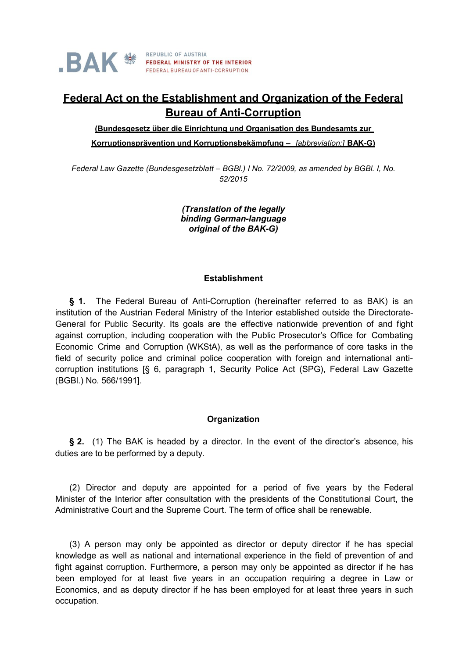

# **Federal Act on the Establishment and Organization of the Federal Bureau of Anti-Corruption**

**(Bundesgesetz über die Einrichtung und Organisation des Bundesamts zur Korruptionsprävention und Korruptionsbekämpfung –** *[abbreviation:]* **BAK-G)**

*Federal Law Gazette (Bundesgesetzblatt – BGBl.) I No. 72/2009, as amended by BGBl. I, No. 52/2015*

> *(Translation of the legally binding German-language original of the BAK-G)*

#### **Establishment**

**§ 1.** The Federal Bureau of Anti-Corruption (hereinafter referred to as BAK) is an institution of the Austrian Federal Ministry of the Interior established outside the Directorate-General for Public Security. Its goals are the effective nationwide prevention of and fight against corruption, including cooperation with the Public Prosecutor's Office for Combating Economic Crime and Corruption (WKStA), as well as the performance of core tasks in the field of security police and criminal police cooperation with foreign and international anticorruption institutions [§ 6, paragraph 1, Security Police Act (SPG), Federal Law Gazette (BGBl.) No. 566/1991].

### **Organization**

**§ 2.** (1) The BAK is headed by a director. In the event of the director's absence, his duties are to be performed by a deputy.

(2) Director and deputy are appointed for a period of five years by the Federal Minister of the Interior after consultation with the presidents of the Constitutional Court, the Administrative Court and the Supreme Court. The term of office shall be renewable.

(3) A person may only be appointed as director or deputy director if he has special knowledge as well as national and international experience in the field of prevention of and fight against corruption. Furthermore, a person may only be appointed as director if he has been employed for at least five years in an occupation requiring a degree in Law or Economics, and as deputy director if he has been employed for at least three years in such occupation.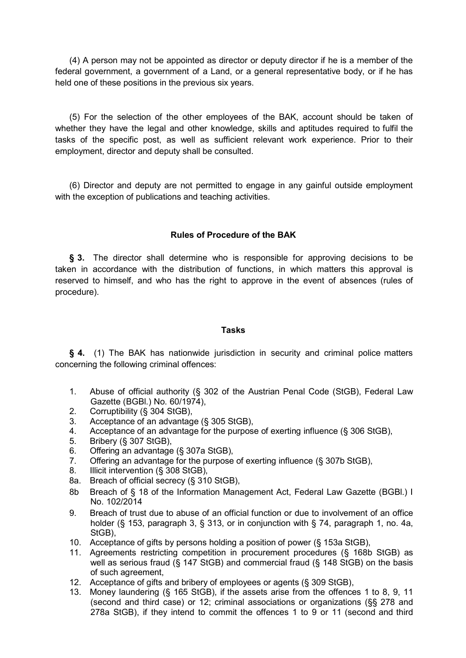(4) A person may not be appointed as director or deputy director if he is a member of the federal government, a government of a Land, or a general representative body, or if he has held one of these positions in the previous six years.

(5) For the selection of the other employees of the BAK, account should be taken of whether they have the legal and other knowledge, skills and aptitudes required to fulfil the tasks of the specific post, as well as sufficient relevant work experience. Prior to their employment, director and deputy shall be consulted.

(6) Director and deputy are not permitted to engage in any gainful outside employment with the exception of publications and teaching activities.

### **Rules of Procedure of the BAK**

§ 3. The director shall determine who is responsible for approving decisions to be taken in accordance with the distribution of functions, in which matters this approval is reserved to himself, and who has the right to approve in the event of absences (rules of procedure).

#### **Tasks**

**§ 4.** (1) The BAK has nationwide jurisdiction in security and criminal police matters concerning the following criminal offences:

- 1. Abuse of official authority (§ 302 of the Austrian Penal Code (StGB), Federal Law Gazette (BGBl.) No. 60/1974),
- 2. Corruptibility (§ 304 StGB),
- 3. Acceptance of an advantage (§ 305 StGB),<br>4. Acceptance of an advantage for the purpose
- Acceptance of an advantage for the purpose of exerting influence (§ 306 StGB),
- 5. Bribery (§ 307 StGB),
- 6. Offering an advantage (§ 307a StGB),
- 7. Offering an advantage for the purpose of exerting influence (§ 307b StGB),
- 8. Illicit intervention (§ 308 StGB),
- 8a. Breach of official secrecy (§ 310 StGB),
- 8b Breach of § 18 of the Information Management Act, Federal Law Gazette (BGBI.) I No. 102/2014
- 9. Breach of trust due to abuse of an official function or due to involvement of an office holder (§ 153, paragraph 3, § 313, or in conjunction with § 74, paragraph 1, no. 4a, StGB),
- 10. Acceptance of gifts by persons holding a position of power (§ 153a StGB),
- 11. Agreements restricting competition in procurement procedures (§ 168b StGB) as well as serious fraud (§ 147 StGB) and commercial fraud (§ 148 StGB) on the basis of such agreement,
- 12. Acceptance of gifts and bribery of employees or agents (§ 309 StGB),
- 13. Money laundering (§ 165 StGB), if the assets arise from the offences 1 to 8, 9, 11 (second and third case) or 12; criminal associations or organizations (§§ 278 and 278a StGB), if they intend to commit the offences 1 to 9 or 11 (second and third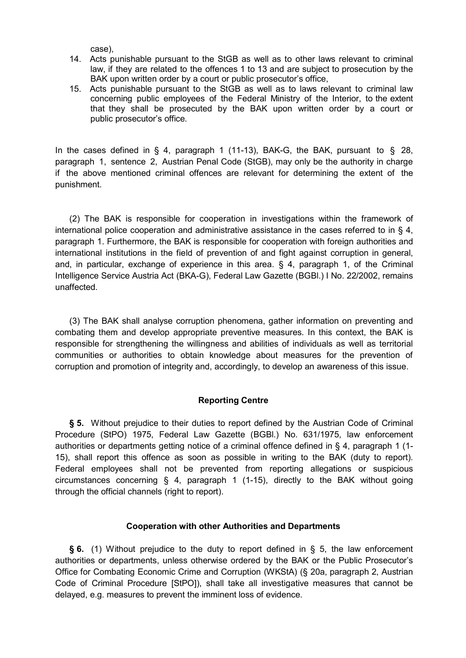case),

- 14. Acts punishable pursuant to the StGB as well as to other laws relevant to criminal law, if they are related to the offences 1 to 13 and are subject to prosecution by the BAK upon written order by a court or public prosecutor's office,
- 15. Acts punishable pursuant to the StGB as well as to laws relevant to criminal law concerning public employees of the Federal Ministry of the Interior, to the extent that they shall be prosecuted by the BAK upon written order by a court or public prosecutor's office.

In the cases defined in § 4, paragraph 1 (11-13), BAK-G, the BAK, pursuant to § 28, paragraph 1, sentence 2, Austrian Penal Code (StGB), may only be the authority in charge if the above mentioned criminal offences are relevant for determining the extent of the punishment.

(2) The BAK is responsible for cooperation in investigations within the framework of international police cooperation and administrative assistance in the cases referred to in  $\S$  4, paragraph 1. Furthermore, the BAK is responsible for cooperation with foreign authorities and international institutions in the field of prevention of and fight against corruption in general, and, in particular, exchange of experience in this area. § 4, paragraph 1, of the Criminal Intelligence Service Austria Act (BKA-G), Federal Law Gazette (BGBl.) I No. 22/2002, remains unaffected.

(3) The BAK shall analyse corruption phenomena, gather information on preventing and combating them and develop appropriate preventive measures. In this context, the BAK is responsible for strengthening the willingness and abilities of individuals as well as territorial communities or authorities to obtain knowledge about measures for the prevention of corruption and promotion of integrity and, accordingly, to develop an awareness of this issue.

# **Reporting Centre**

**§ 5.** Without prejudice to their duties to report defined by the Austrian Code of Criminal Procedure (StPO) 1975, Federal Law Gazette (BGBl.) No. 631/1975, law enforcement authorities or departments getting notice of a criminal offence defined in § 4, paragraph 1 (1- 15), shall report this offence as soon as possible in writing to the BAK (duty to report). Federal employees shall not be prevented from reporting allegations or suspicious circumstances concerning § 4, paragraph 1 (1-15), directly to the BAK without going through the official channels (right to report).

### **Cooperation with other Authorities and Departments**

**§ 6.** (1) Without prejudice to the duty to report defined in § 5, the law enforcement authorities or departments, unless otherwise ordered by the BAK or the Public Prosecutor's Office for Combating Economic Crime and Corruption (WKStA) (§ 20a, paragraph 2, Austrian Code of Criminal Procedure [StPO]), shall take all investigative measures that cannot be delayed, e.g. measures to prevent the imminent loss of evidence.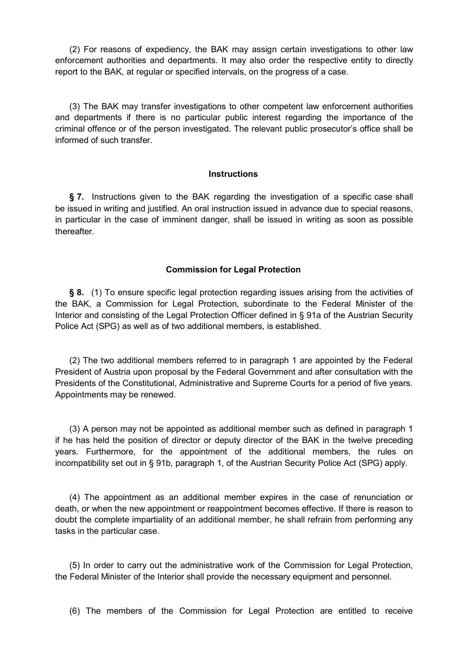(2) For reasons of expediency, the BAK may assign certain investigations to other law enforcement authorities and departments. It may also order the respective entity to directly report to the BAK, at regular or specified intervals, on the progress of a case.

(3) The BAK may transfer investigations to other competent law enforcement authorities and departments if there is no particular public interest regarding the importance of the criminal offence or of the person investigated. The relevant public prosecutor's office shall be informed of such transfer.

#### **Instructions**

**§ 7.** Instructions given to the BAK regarding the investigation of a specific case shall be issued in writing and justified. An oral instruction issued in advance due to special reasons, in particular in the case of imminent danger, shall be issued in writing as soon as possible thereafter.

### **Commission for Legal Protection**

**§ 8.** (1) To ensure specific legal protection regarding issues arising from the activities of the BAK, a Commission for Legal Protection, subordinate to the Federal Minister of the Interior and consisting of the Legal Protection Officer defined in § 91a of the Austrian Security Police Act (SPG) as well as of two additional members, is established.

(2) The two additional members referred to in paragraph 1 are appointed by the Federal President of Austria upon proposal by the Federal Government and after consultation with the Presidents of the Constitutional, Administrative and Supreme Courts for a period of five years. Appointments may be renewed.

(3) A person may not be appointed as additional member such as defined in paragraph 1 if he has held the position of director or deputy director of the BAK in the twelve preceding years. Furthermore, for the appointment of the additional members, the rules on incompatibility set out in § 91b, paragraph 1, of the Austrian Security Police Act (SPG) apply.

(4) The appointment as an additional member expires in the case of renunciation or death, or when the new appointment or reappointment becomes effective. If there is reason to doubt the complete impartiality of an additional member, he shall refrain from performing any tasks in the particular case.

(5) In order to carry out the administrative work of the Commission for Legal Protection, the Federal Minister of the Interior shall provide the necessary equipment and personnel.

(6) The members of the Commission for Legal Protection are entitled to receive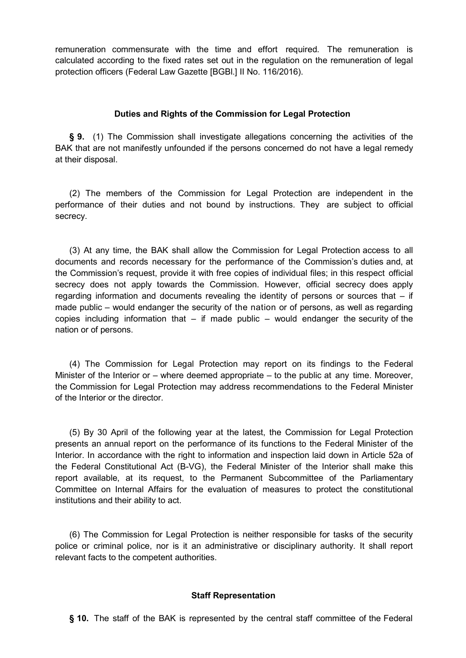remuneration commensurate with the time and effort required. The remuneration is calculated according to the fixed rates set out in the regulation on the remuneration of legal protection officers (Federal Law Gazette [BGBl.] II No. 116/2016).

## **Duties and Rights of the Commission for Legal Protection**

**§ 9.** (1) The Commission shall investigate allegations concerning the activities of the BAK that are not manifestly unfounded if the persons concerned do not have a legal remedy at their disposal.

(2) The members of the Commission for Legal Protection are independent in the performance of their duties and not bound by instructions. They are subject to official secrecy.

(3) At any time, the BAK shall allow the Commission for Legal Protection access to all documents and records necessary for the performance of the Commission's duties and, at the Commission's request, provide it with free copies of individual files; in this respect official secrecy does not apply towards the Commission. However, official secrecy does apply regarding information and documents revealing the identity of persons or sources that – if made public – would endanger the security of the nation or of persons, as well as regarding copies including information that  $-$  if made public  $-$  would endanger the security of the nation or of persons.

(4) The Commission for Legal Protection may report on its findings to the Federal Minister of the Interior or – where deemed appropriate – to the public at any time. Moreover, the Commission for Legal Protection may address recommendations to the Federal Minister of the Interior or the director.

(5) By 30 April of the following year at the latest, the Commission for Legal Protection presents an annual report on the performance of its functions to the Federal Minister of the Interior. In accordance with the right to information and inspection laid down in Article 52a of the Federal Constitutional Act (B-VG), the Federal Minister of the Interior shall make this report available, at its request, to the Permanent Subcommittee of the Parliamentary Committee on Internal Affairs for the evaluation of measures to protect the constitutional institutions and their ability to act.

(6) The Commission for Legal Protection is neither responsible for tasks of the security police or criminal police, nor is it an administrative or disciplinary authority. It shall report relevant facts to the competent authorities.

# **Staff Representation**

**§ 10.** The staff of the BAK is represented by the central staff committee of the Federal